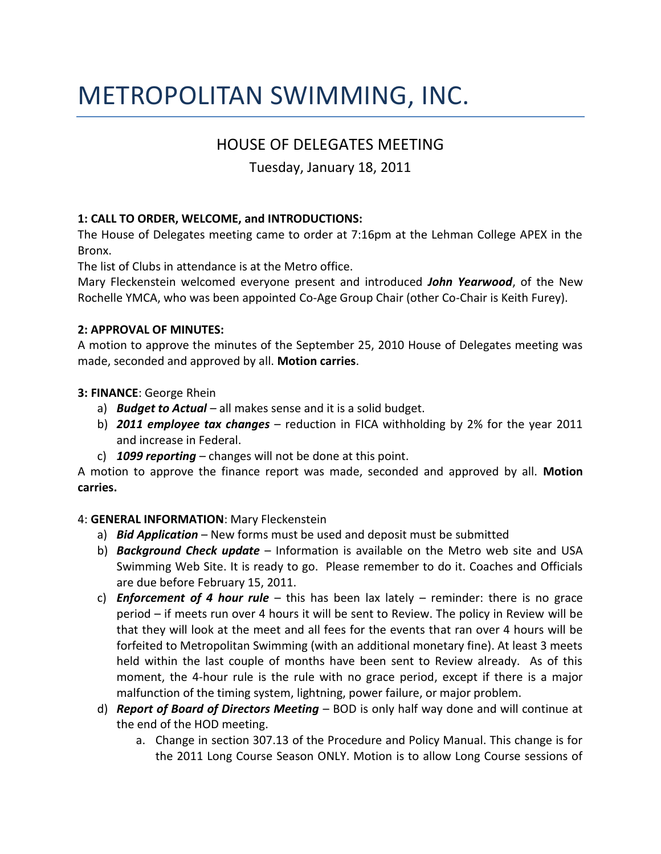# METROPOLITAN SWIMMING, INC.

## HOUSE OF DELEGATES MEETING

Tuesday, January 18, 2011

#### **1: CALL TO ORDER, WELCOME, and INTRODUCTIONS:**

The House of Delegates meeting came to order at 7:16pm at the Lehman College APEX in the Bronx.

The list of Clubs in attendance is at the Metro office.

Mary Fleckenstein welcomed everyone present and introduced *John Yearwood*, of the New Rochelle YMCA, who was been appointed Co-Age Group Chair (other Co-Chair is Keith Furey).

#### **2: APPROVAL OF MINUTES:**

A motion to approve the minutes of the September 25, 2010 House of Delegates meeting was made, seconded and approved by all. **Motion carries**.

**3: FINANCE**: George Rhein

- a) *Budget to Actual* all makes sense and it is a solid budget.
- b) *2011 employee tax changes* reduction in FICA withholding by 2% for the year 2011 and increase in Federal.
- c) *1099 reporting* changes will not be done at this point.

A motion to approve the finance report was made, seconded and approved by all. **Motion carries.**

#### 4: **GENERAL INFORMATION**: Mary Fleckenstein

- a) *Bid Application* New forms must be used and deposit must be submitted
- b) *Background Check update* Information is available on the Metro web site and USA Swimming Web Site. It is ready to go. Please remember to do it. Coaches and Officials are due before February 15, 2011.
- c) *Enforcement of 4 hour rule*  this has been lax lately reminder: there is no grace period – if meets run over 4 hours it will be sent to Review. The policy in Review will be that they will look at the meet and all fees for the events that ran over 4 hours will be forfeited to Metropolitan Swimming (with an additional monetary fine). At least 3 meets held within the last couple of months have been sent to Review already. As of this moment, the 4-hour rule is the rule with no grace period, except if there is a major malfunction of the timing system, lightning, power failure, or major problem.
- d) *Report of Board of Directors Meeting*  BOD is only half way done and will continue at the end of the HOD meeting.
	- a. Change in section 307.13 of the Procedure and Policy Manual. This change is for the 2011 Long Course Season ONLY. Motion is to allow Long Course sessions of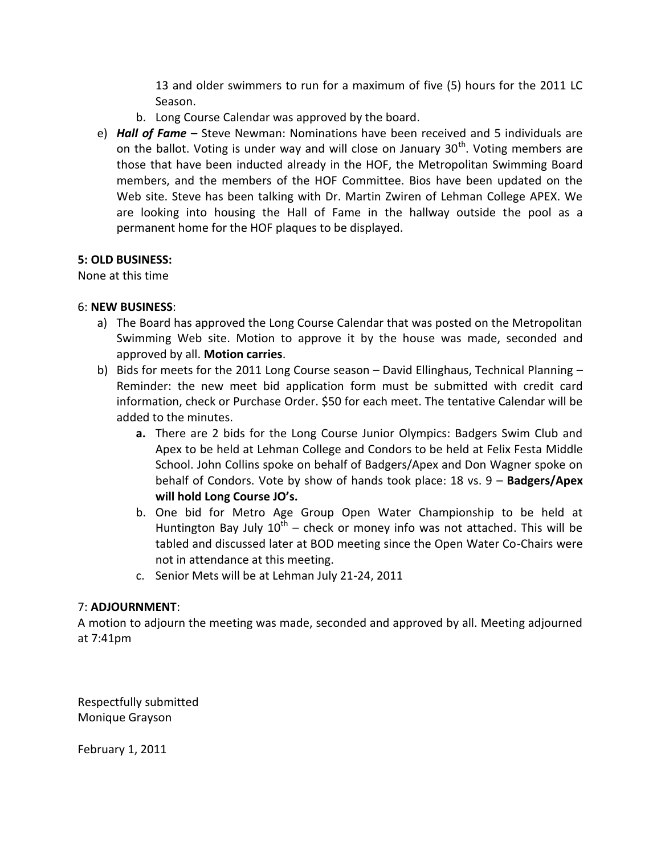13 and older swimmers to run for a maximum of five (5) hours for the 2011 LC Season.

- b. Long Course Calendar was approved by the board.
- e) *Hall of Fame* Steve Newman: Nominations have been received and 5 individuals are on the ballot. Voting is under way and will close on January  $30<sup>th</sup>$ . Voting members are those that have been inducted already in the HOF, the Metropolitan Swimming Board members, and the members of the HOF Committee. Bios have been updated on the Web site. Steve has been talking with Dr. Martin Zwiren of Lehman College APEX. We are looking into housing the Hall of Fame in the hallway outside the pool as a permanent home for the HOF plaques to be displayed.

#### **5: OLD BUSINESS:**

None at this time

#### 6: **NEW BUSINESS**:

- a) The Board has approved the Long Course Calendar that was posted on the Metropolitan Swimming Web site. Motion to approve it by the house was made, seconded and approved by all. **Motion carries**.
- b) Bids for meets for the 2011 Long Course season David Ellinghaus, Technical Planning Reminder: the new meet bid application form must be submitted with credit card information, check or Purchase Order. \$50 for each meet. The tentative Calendar will be added to the minutes.
	- **a.** There are 2 bids for the Long Course Junior Olympics: Badgers Swim Club and Apex to be held at Lehman College and Condors to be held at Felix Festa Middle School. John Collins spoke on behalf of Badgers/Apex and Don Wagner spoke on behalf of Condors. Vote by show of hands took place: 18 vs. 9 – **Badgers/Apex will hold Long Course JO's.**
	- b. One bid for Metro Age Group Open Water Championship to be held at Huntington Bay July  $10^{\text{th}}$  – check or money info was not attached. This will be tabled and discussed later at BOD meeting since the Open Water Co-Chairs were not in attendance at this meeting.
	- c. Senior Mets will be at Lehman July 21-24, 2011

#### 7: **ADJOURNMENT**:

A motion to adjourn the meeting was made, seconded and approved by all. Meeting adjourned at 7:41pm

Respectfully submitted Monique Grayson

February 1, 2011